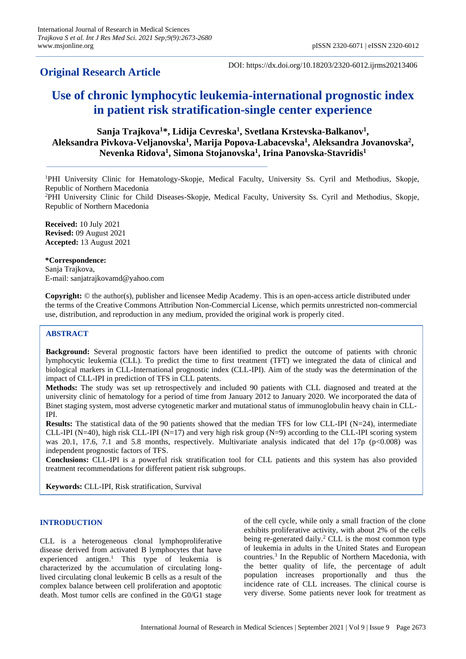# **Original Research Article**

DOI: https://dx.doi.org/10.18203/2320-6012.ijrms20213406

# **Use of chronic lymphocytic leukemia-international prognostic index in patient risk stratification-single center experience**

# **Sanja Trajkova<sup>1</sup>\*, Lidija Cevreska<sup>1</sup> , Svetlana Krstevska-Balkanov<sup>1</sup> , Aleksandra Pivkova-Veljanovska<sup>1</sup> , Marija Popova-Labacevska<sup>1</sup> , Aleksandra Jovanovska<sup>2</sup> , Nevenka Ridova<sup>1</sup> , Simona Stojanovska<sup>1</sup> , Irina Panovska-Stavridis<sup>1</sup>**

<sup>1</sup>PHI University Clinic for Hematology-Skopje, Medical Faculty, University Ss. Cyril and Methodius, Skopje, Republic of Northern Macedonia

<sup>2</sup>PHI University Clinic for Child Diseases-Skopje, Medical Faculty, University Ss. Cyril and Methodius, Skopje, Republic of Northern Macedonia

**Received:** 10 July 2021 **Revised:** 09 August 2021 **Accepted:** 13 August 2021

**\*Correspondence:** Sanja Trajkova, E-mail: sanjatrajkovamd@yahoo.com

**Copyright:** © the author(s), publisher and licensee Medip Academy. This is an open-access article distributed under the terms of the Creative Commons Attribution Non-Commercial License, which permits unrestricted non-commercial use, distribution, and reproduction in any medium, provided the original work is properly cited.

## **ABSTRACT**

**Background:** Several prognostic factors have been identified to predict the outcome of patients with chronic lymphocytic leukemia (CLL). To predict the time to first treatment (TFT) we integrated the data of clinical and biological markers in CLL-International prognostic index (CLL-IPI). Aim of the study was the determination of the impact of CLL-IPI in prediction of TFS in CLL patents.

**Methods:** The study was set up retrospectively and included 90 patients with CLL diagnosed and treated at the university clinic of hematology for a period of time from January 2012 to January 2020. We incorporated the data of Binet staging system, most adverse cytogenetic marker and mutational status of immunoglobulin heavy chain in CLL-IPI.

**Results:** The statistical data of the 90 patients showed that the median TFS for low CLL-IPI (N=24), intermediate CLL-IPI (N=40), high risk CLL-IPI (N=17) and very high risk group (N=9) according to the CLL-IPI scoring system was 20.1, 17.6, 7.1 and 5.8 months, respectively. Multivariate analysis indicated that del 17p ( $p<0.008$ ) was independent prognostic factors of TFS.

**Conclusions:** CLL-IPI is a powerful risk stratification tool for CLL patients and this system has also provided treatment recommendations for different patient risk subgroups.

**Keywords:** CLL-IPI, Risk stratification, Survival

### **INTRODUCTION**

CLL is a heterogeneous clonal lymphoproliferative disease derived from activated B lymphocytes that have experienced antigen. <sup>1</sup> This type of leukemia is characterized by the accumulation of circulating longlived circulating clonal leukemic B cells as a result of the complex balance between cell proliferation and apoptotic death. Most tumor cells are confined in the G0/G1 stage of the cell cycle, while only a small fraction of the clone exhibits proliferative activity, with about 2% of the cells being re-generated daily. <sup>2</sup> CLL is the most common type of leukemia in adults in the United States and European countries. 3 In the Republic of Northern Macedonia, with the better quality of life, the percentage of adult population increases proportionally and thus the incidence rate of CLL increases. The clinical course is very diverse. Some patients never look for treatment as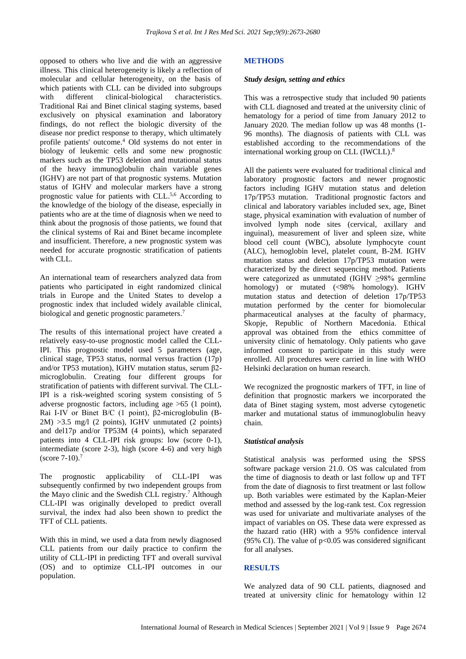opposed to others who live and die with an aggressive illness. This clinical heterogeneity is likely a reflection of molecular and cellular heterogeneity, on the basis of which patients with CLL can be divided into subgroups with different clinical-biological characteristics. Traditional Rai and Binet clinical staging systems, based exclusively on physical examination and laboratory findings, do not reflect the biologic diversity of the disease nor predict response to therapy, which ultimately profile patients' outcome. <sup>4</sup> Old systems do not enter in biology of leukemic cells and some new prognostic markers such as the TP53 deletion and mutational status of the heavy immunoglobulin chain variable genes (IGHV) are not part of that prognostic systems. Mutation status of IGHV and molecular markers have a strong prognostic value for patients with CLL.<sup>5,6</sup> According to the knowledge of the biology of the disease, especially in patients who are at the time of diagnosis when we need to think about the prognosis of those patients, we found that the clinical systems of Rai and Binet became incomplete and insufficient. Therefore, a new prognostic system was needed for accurate prognostic stratification of patients with CLL.

An international team of researchers analyzed data from patients who participated in eight randomized clinical trials in Europe and the United States to develop a prognostic index that included widely available clinical, biological and genetic prognostic parameters. 7

The results of this international project have created a relatively easy-to-use prognostic model called the CLL-IPI. This prognostic model used 5 parameters (age, clinical stage, TP53 status, normal versus fraction (17p) and/or TP53 mutation), IGHV mutation status, serum β2 microglobulin. Creating four different groups for stratification of patients with different survival. The CLL-IPI is a risk-weighted scoring system consisting of 5 adverse prognostic factors, including age >65 (1 point), Rai I-IV or Binet B/C (1 point), β2-microglobulin (B- $2M$ ) >3.5 mg/l (2 points), IGHV unmutated (2 points) and del17p and/or TP53M (4 points), which separated patients into 4 CLL-IPI risk groups: low (score 0-1), intermediate (score 2-3), high (score 4-6) and very high (score 7-10). 7

The prognostic applicability of CLL-IPI was subsequently confirmed by two independent groups from the Mayo clinic and the Swedish CLL registry. <sup>7</sup> Although CLL-IPI was originally developed to predict overall survival, the index had also been shown to predict the TFT of CLL patients.

With this in mind, we used a data from newly diagnosed CLL patients from our daily practice to confirm the utility of CLL-IPI in predicting TFT and overall survival (OS) and to optimize CLL-IPI outcomes in our population.

#### **METHODS**

#### *Study design, setting and ethics*

This was a retrospective study that included 90 patients with CLL diagnosed and treated at the university clinic of hematology for a period of time from January 2012 to January 2020. The median follow up was 48 months (1- 96 months). The diagnosis of patients with CLL was established according to the recommendations of the international working group on CLL (IWCLL). 8

All the patients were evaluated for traditional clinical and laboratory prognostic factors and newer prognostic factors including IGHV mutation status and deletion 17p/TP53 mutation. Traditional prognostic factors and clinical and laboratory variables included sex, age, Binet stage, physical examination with evaluation of number of involved lymph node sites (cervical, axillary and inguinal), measurement of liver and spleen size, white blood cell count (WBC), absolute lymphocyte count (ALC), hemoglobin level, platelet count, B-2M. IGHV mutation status and deletion 17p/TP53 mutation were characterized by the direct sequencing method. Patients were categorized as unmutated (IGHV ≥98% germline homology) or mutated (<98% homology). IGHV mutation status and detection of deletion 17p/TP53 mutation performed by the center for biomolecular pharmaceutical analyses at the faculty of pharmacy, Skopje, Republic of Northern Macedonia. Ethical approval was obtained from the ethics committee of university clinic of hematology. Only patients who gave informed consent to participate in this study were enrolled. All procedures were carried in line with WHO Helsinki declaration on human research.

We recognized the prognostic markers of TFT, in line of definition that prognostic markers we incorporated the data of Binet staging system, most adverse cytogenetic marker and mutational status of immunoglobulin heavy chain.

#### *Statistical analysis*

Statistical analysis was performed using the SPSS software package version 21.0. OS was calculated from the time of diagnosis to death or last follow up and TFT from the date of diagnosis to first treatment or last follow up. Both variables were estimated by the Kaplan-Meier method and assessed by the log-rank test. Cox regression was used for univariate and multivariate analyses of the impact of variables on OS. These data were expressed as the hazard ratio (HR) with a 95% confidence interval (95% CI). The value of  $p<0.05$  was considered significant for all analyses.

#### **RESULTS**

We analyzed data of 90 CLL patients, diagnosed and treated at university clinic for hematology within 12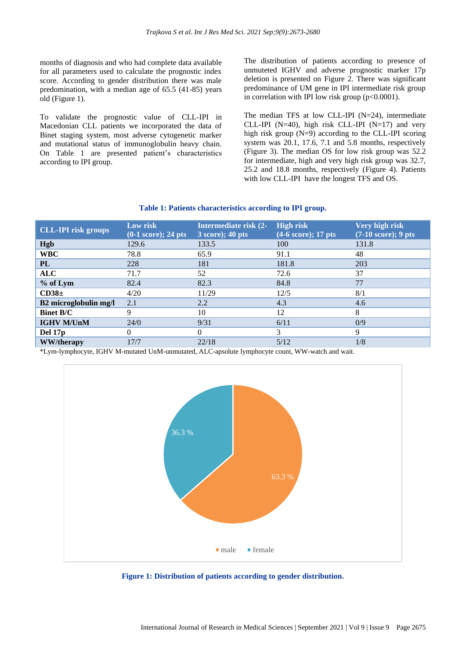months of diagnosis and who had complete data available for all parameters used to calculate the prognostic index score. According to gender distribution there was male predomination, with a median age of 65.5 (41-85) years old (Figure 1).

To validate the prognostic value of CLL-IPI in Macedonian CLL patients we incorporated the data of Binet staging system, most adverse cytogenetic marker and mutational status of immunoglobulin heavy chain. On Table 1 are presented patient's characteristics according to IPI group.

The distribution of patients according to presence of unmuteted IGHV and adverse prognostic marker 17p deletion is presented on Figure 2. There was significant predominance of UM gene in IPI intermediate risk group in correlation with IPI low risk group  $(p<0.0001)$ .

The median TFS at low CLL-IPI (N=24), intermediate CLL-IPI (N=40), high risk CLL-IPI (N=17) and very high risk group  $(N=9)$  according to the CLL-IPI scoring system was 20.1, 17.6, 7.1 and 5.8 months, respectively (Figure 3). The median OS for low risk group was 52.2 for intermediate, high and very high risk group was 32.7, 25.2 and 18.8 months, respectively (Figure 4). Patients with low CLL-IPI have the longest TFS and OS.

#### **Table 1: Patients characteristics according to IPI group.**

| <b>CLL-IPI risk groups</b> | Low risk<br>$(0-1 \text{ score}); 24 \text{ pts}$ | Intermediate risk (2-<br>$3 \text{ score}$ ; 40 pts | <b>High risk</b><br>$(4-6 \text{ score}); 17 \text{ pts}$ | Very high risk<br>$(7-10 \text{ score})$ ; 9 pts |
|----------------------------|---------------------------------------------------|-----------------------------------------------------|-----------------------------------------------------------|--------------------------------------------------|
| <b>Hgb</b>                 | 129.6                                             | 133.5                                               | 100                                                       | 131.8                                            |
| <b>WBC</b>                 | 78.8                                              | 65.9                                                | 91.1                                                      | 48                                               |
| PL                         | 228                                               | 181                                                 | 181.8                                                     | 203                                              |
| <b>ALC</b>                 | 71.7                                              | 52                                                  | 72.6                                                      | 37                                               |
| % of Lym                   | 82.4                                              | 82.3                                                | 84.8                                                      | 77                                               |
| CD38 <sub>±</sub>          | 4/20                                              | 11/29                                               | 12/5                                                      | 8/1                                              |
| B2 microglobulin mg/l      | 2.1                                               | 2.2                                                 | 4.3                                                       | 4.6                                              |
| <b>Binet B/C</b>           | 9                                                 | 10                                                  | 12                                                        | 8                                                |
| <b>IGHV M/UnM</b>          | 24/0                                              | 9/31                                                | 6/11                                                      | 0/9                                              |
| Del 17 <sub>p</sub>        | $\Omega$                                          | $\Omega$                                            | 3                                                         | 9                                                |
| <b>WW/therapy</b>          | 17/7                                              | 22/18                                               | 5/12                                                      | 1/8                                              |

\*Lym-lymphocyte, IGHV M-mutated UnM-unmutated, ALC-apsolute lymphocyte count, WW-watch and wait.



**Figure 1: Distribution of patients according to gender distribution.**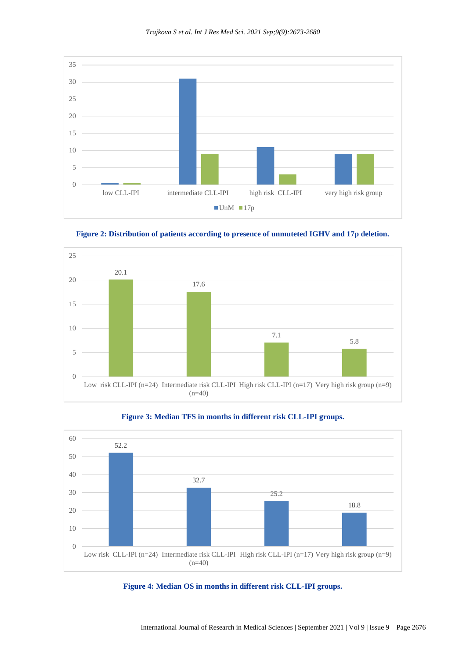



**Figure 2: Distribution of patients according to presence of unmuteted IGHV and 17p deletion.**





## **Figure 3: Median TFS in months in different risk CLL-IPI groups.**

**Figure 4: Median OS in months in different risk CLL-IPI groups.**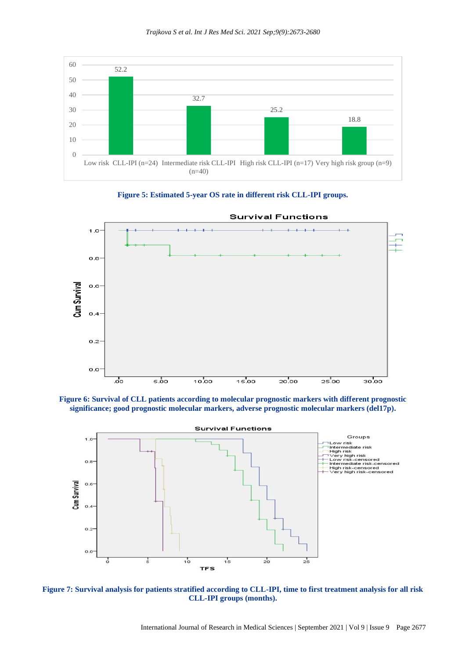







**Figure 6: Survival of CLL patients according to molecular prognostic markers with different prognostic significance; good prognostic molecular markers, adverse prognostic molecular markers (del17p).**



**Figure 7: Survival analysis for patients stratified according to CLL-IPI, time to first treatment analysis for all risk CLL-IPI groups (months).**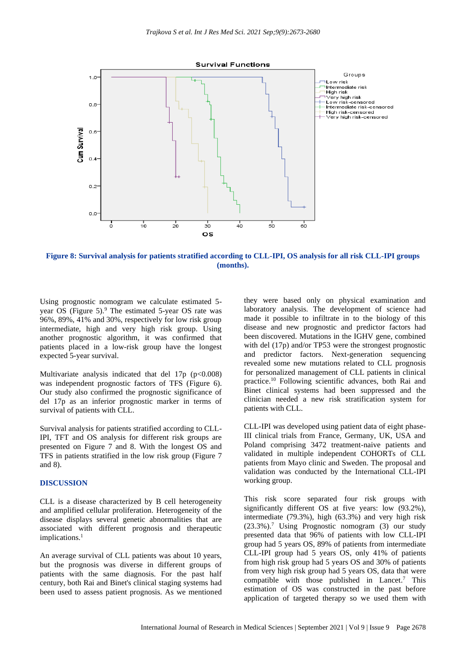

**Figure 8: Survival analysis for patients stratified according to CLL-IPI, OS analysis for all risk CLL-IPI groups (months).**

Using prognostic nomogram we calculate estimated 5 year OS (Figure 5).<sup>9</sup> The estimated 5-year OS rate was 96%, 89%, 41% and 30%, respectively for low risk group intermediate, high and very high risk group. Using another prognostic algorithm, it was confirmed that patients placed in a low-risk group have the longest expected 5-year survival.

Multivariate analysis indicated that del  $17p (p<0.008)$ was independent prognostic factors of TFS (Figure 6). Our study also confirmed the prognostic significance of del 17p as an inferior prognostic marker in terms of survival of patients with CLL.

Survival analysis for patients stratified according to CLL-IPI, TFT and OS analysis for different risk groups are presented on Figure 7 and 8. With the longest OS and TFS in patients stratified in the low risk group (Figure 7 and 8).

#### **DISCUSSION**

CLL is a disease characterized by B cell heterogeneity and amplified cellular proliferation. Heterogeneity of the disease displays several genetic abnormalities that are associated with different prognosis and therapeutic implications. 1

An average survival of CLL patients was about 10 years, but the prognosis was diverse in different groups of patients with the same diagnosis. For the past half century, both Rai and Binet's clinical staging systems had been used to assess patient prognosis. As we mentioned they were based only on physical examination and laboratory analysis. The development of science had made it possible to infiltrate in to the biology of this disease and new prognostic and predictor factors had been discovered. Mutations in the IGHV gene, combined with del (17p) and/or TP53 were the strongest prognostic and predictor factors. Next-generation sequencing revealed some new mutations related to CLL prognosis for personalized management of CLL patients in clinical practice. <sup>10</sup> Following scientific advances, both Rai and Binet clinical systems had been suppressed and the clinician needed a new risk stratification system for patients with CLL.

CLL-IPI was developed using patient data of eight phase-III clinical trials from France, Germany, UK, USA and Poland comprising 3472 treatment-naive patients and validated in multiple independent COHORTs of CLL patients from Mayo clinic and Sweden. The proposal and validation was conducted by the International CLL-IPI working group.

This risk score separated four risk groups with significantly different OS at five years: low (93.2%), intermediate (79.3%), high (63.3%) and very high risk (23.3%). <sup>7</sup> Using Prognostic nomogram (3) our study presented data that 96% of patients with low CLL-IPI group had 5 years OS, 89% of patients from intermediate CLL-IPI group had 5 years OS, only 41% of patients from high risk group had 5 years OS and 30% of patients from very high risk group had 5 years OS, data that were compatible with those published in Lancet. <sup>7</sup> This estimation of OS was constructed in the past before application of targeted therapy so we used them with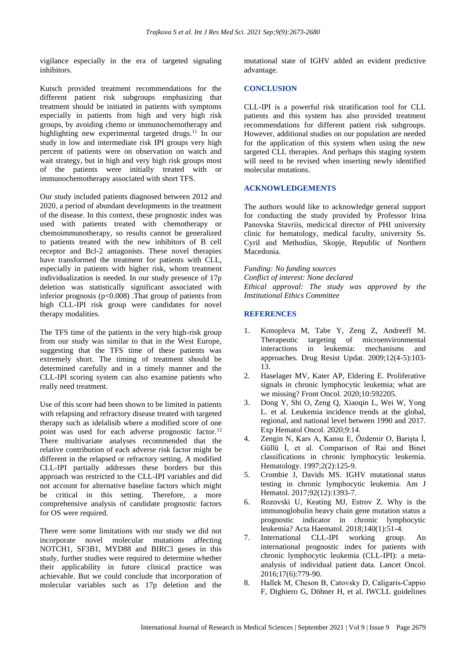vigilance especially in the era of targeted signaling inhibitors.

Kutsch provided treatment recommendations for the different patient risk subgroups emphasizing that treatment should be initiated in patients with symptoms especially in patients from high and very high risk groups, by avoiding chemo or immunochemotherapy and highlighting new experimental targeted drugs.<sup>11</sup> In our study in low and intermediate risk IPI groups very high percent of patients were on observation on watch and wait strategy, but in high and very high risk groups most of the patients were initially treated with or immunochemotherapy associated with short TFS.

Our study included patients diagnosed between 2012 and 2020, a period of abundant developments in the treatment of the disease. In this context, these prognostic index was used with patients treated with chemotherapy or chemoimmunotherapy, so results cannot be generalized to patients treated with the new inhibitors of B cell receptor and Bcl-2 antagonists. These novel therapies have transformed the treatment for patients with CLL, especially in patients with higher risk, whom treatment individualization is needed. In our study presence of 17p deletion was statistically significant associated with inferior prognosis ( $p<0.008$ ). That group of patients from high CLL-IPI risk group were candidates for novel therapy modalities.

The TFS time of the patients in the very high-risk group from our study was similar to that in the West Europe, suggesting that the TFS time of these patients was extremely short. The timing of treatment should be determined carefully and in a timely manner and the CLL-IPI scoring system can also examine patients who really need treatment.

Use of this score had been shown to be limited in patients with relapsing and refractory disease treated with targeted therapy such as idelalisib where a modified score of one point was used for each adverse prognostic factor.<sup>12</sup> There multivariate analyses recommended that the relative contribution of each adverse risk factor might be different in the relapsed or refractory setting. A modified CLL-IPI partially addresses these borders but this approach was restricted to the CLL-IPI variables and did not account for alternative baseline factors which might be critical in this setting. Therefore, a more comprehensive analysis of candidate prognostic factors for OS were required.

There were some limitations with our study we did not incorporate novel molecular mutations affecting NOTCH1, SF3B1, MYD88 and BIRC3 genes in this study, further studies were required to determine whether their applicability in future clinical practice was achievable. But we could conclude that incorporation of molecular variables such as 17p deletion and the mutational state of IGHV added an evident predictive advantage.

#### **CONCLUSION**

CLL-IPI is a powerful risk stratification tool for CLL patients and this system has also provided treatment recommendations for different patient risk subgroups. However, additional studies on our population are needed for the application of this system when using the new targeted CLL therapies. And perhaps this staging system will need to be revised when inserting newly identified molecular mutations.

#### **ACKNOWLEDGEMENTS**

The authors would like to acknowledge general support for conducting the study provided by Professor Irina Panovska Stavriis, medicical director of PHI university clinic for hematology, medical faculty, university Ss. Cyril and Methodius, Skopje, Republic of Northern Macedonia.

*Funding: No funding sources*

*Conflict of interest: None declared*

*Ethical approval: The study was approved by the Institutional Ethics Committee*

#### **REFERENCES**

- 1. Konopleva M, Tabe Y, Zeng Z, Andreeff M. Therapeutic targeting of microenvironmental interactions in leukemia: mechanisms and approaches. Drug Resist Updat. 2009;12(4-5):103- 13.
- 2. Haselager MV, Kater AP, Eldering E. Proliferative signals in chronic lymphocytic leukemia; what are we missing? Front Oncol. 2020;10:592205.
- 3. Dong Y, Shi O, Zeng Q, Xiaoqin L, Wei W, Yong L. et al. Leukemia incidence trends at the global, regional, and national level between 1990 and 2017. Exp Hematol Oncol. 2020;9:14.
- 4. Zengin N, Kars A, Kansu E, Özdemir O, Barişta İ, Güllü İ, et al. Comparison of Rai and Binet classifications in chronic lymphocytic leukemia. Hematology. 1997;2(2):125-9.
- 5. Crombie J, Davids MS. IGHV mutational status testing in chronic lymphocytic leukemia. Am J Hematol. 2017;92(12):1393-7.
- 6. Rozovski U, Keating MJ, Estrov Z. Why is the immunoglobulin heavy chain gene mutation status a prognostic indicator in chronic lymphocytic leukemia? Acta Haematol. 2018;140(1):51-4.
- 7. International CLL-IPI working group. An international prognostic index for patients with chronic lymphocytic leukemia (CLL-IPI): a metaanalysis of individual patient data. Lancet Oncol. 2016;17(6):779-90.
- 8. Hallek M, Cheson B, Catovsky D, Caligaris‐Cappio F, Dighiero G, Döhner H, et al. IWCLL guidelines